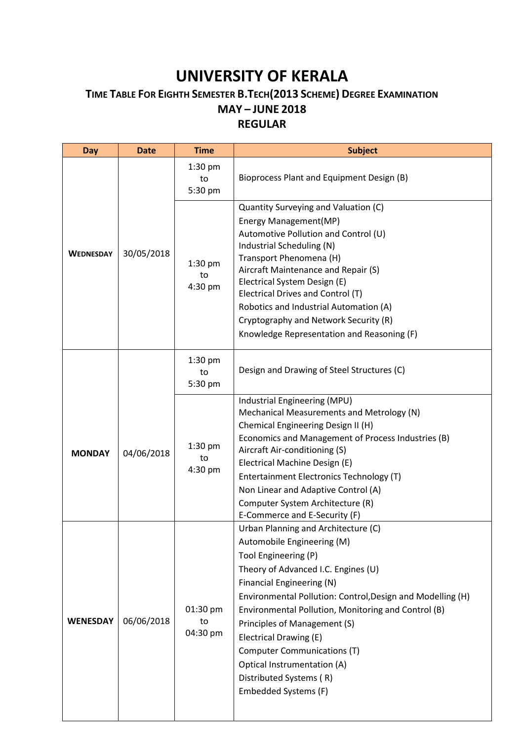## **UNIVERSITY OF KERALA**

## **TIME TABLE FOR EIGHTH SEMESTER B.TECH(2013 SCHEME) DEGREE EXAMINATION MAY – JUNE 2018 REGULAR**

**Day Date Time Subject WEDNESDAY** 30/05/2018 1:30 pm to 5:30 pm Bioprocess Plant and Equipment Design (B) 1:30 pm to 4:30 pm Quantity Surveying and Valuation (C) Energy Management(MP) Automotive Pollution and Control (U) Industrial Scheduling (N) Transport Phenomena (H) Aircraft Maintenance and Repair (S) Electrical System Design (E) Electrical Drives and Control (T) Robotics and Industrial Automation (A) Cryptography and Network Security (R) Knowledge Representation and Reasoning (F) **MONDAY** 04/06/2018 1:30 pm to 5:30 pm Design and Drawing of Steel Structures (C) 1:30 pm to 4:30 pm Industrial Engineering (MPU) Mechanical Measurements and Metrology (N) Chemical Engineering Design II (H) Economics and Management of Process Industries (B) Aircraft Air-conditioning (S) Electrical Machine Design (E) Entertainment Electronics Technology (T) Non Linear and Adaptive Control (A) Computer System Architecture (R) E-Commerce and E-Security (F) **WENESDAY** 06/06/2018 01:30 pm to 04:30 pm Urban Planning and Architecture (C) Automobile Engineering (M) Tool Engineering (P) Theory of Advanced I.C. Engines (U) Financial Engineering (N) Environmental Pollution: Control,Design and Modelling (H) Environmental Pollution, Monitoring and Control (B) Principles of Management (S) Electrical Drawing (E) Computer Communications (T) Optical Instrumentation (A) Distributed Systems ( R) Embedded Systems (F)